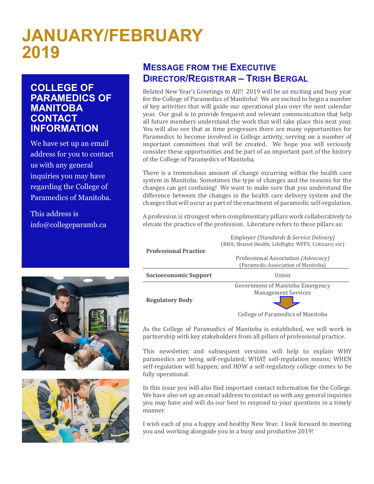# **JANUARY/FEBRUARY 2019**

#### **COLLEGE OF PARAMEDICS OF MANITOBA CONTACT INFORMATION**

We have set up an email address for you to contact us with any general inquiries you may have regarding the College of Paramedics of Manitoba.

This address is info@collegeparamb.ca





### **MESSAGE FROM THE EXECUTIVE DIRECTOR/REGISTRAR – TRISH BERGAL**

Belated New Year's Greetings to All!! 2019 will be an exciting and busy year for the College of Paramedics of Manitoba! We are excited to begin a number of key activities that will guide our operational plan over the next calendar year. Our goal is to provide frequent and relevant communication that help all future members understand the work that will take place this next year. You will also see that as time progresses there are many opportunities for Paramedics to become involved in College activity, serving on a number of important committees that will be created. We hope you will seriously consider these opportunities and be part of an important part of the history of the College of Paramedics of Manitoba.

There is a tremendous amount of change occurring within the health care system in Manitoba. Sometimes the type of changes and the reasons for the changes can get confusing! We want to make sure that you understand the difference between the changes in the health care delivery system and the changes that will occur as part of the enactment of paramedic self-regulation.

A profession is strongest when complimentary pillars work collaboratively to elevate the practice of the profession. Literature refers to these pillars as:

> Employer *(Standards & Service Delivery)* (RHA; Shared Health; Lifeflight; WFPS; Criticare; etc)

| <b>Professional Practice</b> |                                     |
|------------------------------|-------------------------------------|
|                              | Professional Association (Advocacy) |
|                              | (Paramedic Association of Manitoba) |
| Socioeconomic Support        | Union                               |
|                              | Government of Manitoba Emergency    |
|                              | <b>Management Services</b>          |
| <b>Regulatory Body</b>       |                                     |

College of Paramedics of Manitoba

As the College of Paramedics of Manitoba is established, we will work in partnership with key stakeholders from all pillars of professional practice.

This newsletter, and subsequent versions will help to explain WHY paramedics are being self-regulated; WHAT self-regulation means; WHEN self-regulation will happen; and HOW a self-regulatory college comes to be fully operational.

In this issue you will also find important contact information for the College. We have also set up an email address to contact us with any general inquiries you may have and will do our best to respond to your questions in a timely manner.

I wish each of you a happy and healthy New Year. I look forward to meeting you and working alongside you in a busy and productive 2019!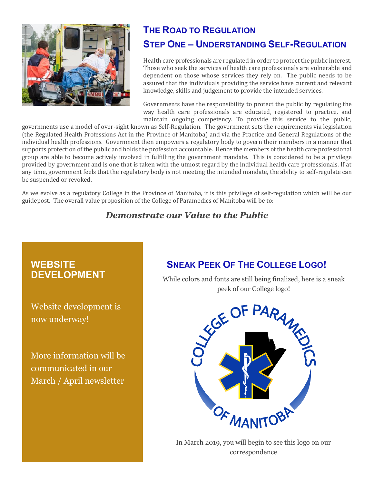

## **THE ROAD TO REGULATION STEP ONE – UNDERSTANDING SELF-REGULATION**

Health care professionals are regulated in order to protect the public interest. Those who seek the services of health care professionals are vulnerable and dependent on those whose services they rely on. The public needs to be assured that the individuals providing the service have current and relevant knowledge, skills and judgement to provide the intended services.

Governments have the responsibility to protect the public by regulating the way health care professionals are educated, registered to practice, and maintain ongoing competency. To provide this service to the public,

governments use a model of over-sight known as Self-Regulation. The government sets the requirements via legislation (the Regulated Health Professions Act in the Province of Manitoba) and via the Practice and General Regulations of the individual health professions. Government then empowers a regulatory body to govern their members in a manner that supports protection of the public and holds the profession accountable. Hence the members of the health care professional group are able to become actively involved in fulfilling the government mandate. This is considered to be a privilege provided by government and is one that is taken with the utmost regard by the individual health care professionals. If at any time, government feels that the regulatory body is not meeting the intended mandate, the ability to self-regulate can be suspended or revoked.

As we evolve as a regulatory College in the Province of Manitoba, it is this privilege of self-regulation which will be our guidepost. The overall value proposition of the College of Paramedics of Manitoba will be to:

#### *Demonstrate our Value to the Public*

#### **WEBSITE DEVELOPMENT**

Website development is now underway!

More information will be communicated in our March / April newsletter

## **SNEAK PEEK OF THE COLLEGE LOGO!**

While colors and fonts are still being finalized, here is a sneak



In March 2019, you will begin to see this logo on our correspondence